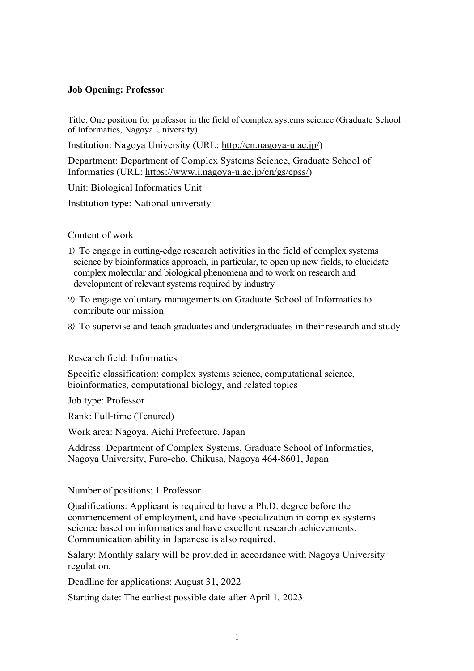## **Job Opening: Professor**

Title: One position for professor in the field of complex systems science (Graduate School of Informatics, Nagoya University)

Institution: Nagoya University (URL: [http://en.nagoya-u.ac.jp/\)](http://en.nagoya-u.ac.jp/)

Department: Department of Complex Systems Science, Graduate School of Informatics (URL: [https://www.i.nagoya-u.ac.jp/en/gs/cpss/\)](https://www.i.nagoya-u.ac.jp/en/gs/cpss/)

Unit: Biological Informatics Unit

Institution type: National university

## Content of work

- 1) To engage in cutting-edge research activities in the field of complex systems science by bioinformatics approach, in particular, to open up new fields, to elucidate complex molecular and biological phenomena and to work on research and development of relevant systems required by industry
- 2) To engage voluntary managements on Graduate School of Informatics to contribute our mission
- 3) To supervise and teach graduates and undergraduates in theirresearch and study

## Research field: Informatics

Specific classification: complex systems science, computational science, bioinformatics, computational biology, and related topics

Job type: Professor

Rank: Full-time (Tenured)

Work area: Nagoya, Aichi Prefecture, Japan

Address: Department of Complex Systems, Graduate School of Informatics, Nagoya University, Furo-cho, Chikusa, Nagoya 464-8601, Japan

## Number of positions: 1 Professor

Qualifications: Applicant is required to have a Ph.D. degree before the commencement of employment, and have specialization in complex systems science based on informatics and have excellent research achievements. Communication ability in Japanese is also required.

Salary: Monthly salary will be provided in accordance with Nagoya University regulation.

Deadline for applications: August 31, 2022

Starting date: The earliest possible date after April 1, 2023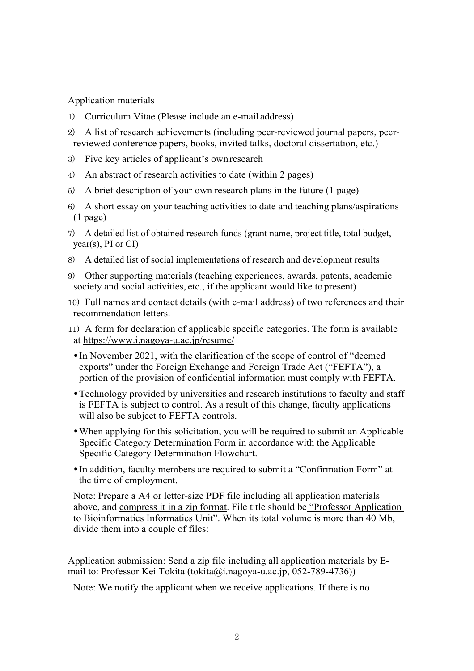Application materials

- 1) Curriculum Vitae (Please include an e-mail address)
- 2) A list of research achievements (including peer-reviewed journal papers, peerreviewed conference papers, books, invited talks, doctoral dissertation, etc.)
- 3) Five key articles of applicant's ownresearch
- 4) An abstract of research activities to date (within 2 pages)
- 5) A brief description of your own research plans in the future (1 page)
- 6) A short essay on your teaching activities to date and teaching plans/aspirations (1 page)
- 7) A detailed list of obtained research funds (grant name, project title, total budget,  $year(s)$ , PI or CI)
- 8) A detailed list of social implementations of research and development results
- 9) Other supporting materials (teaching experiences, awards, patents, academic society and social activities, etc., if the applicant would like to present)
- 10) Full names and contact details (with e-mail address) of two references and their recommendation letters.
- 11) A form for declaration of applicable specific categories. The form is available at<https://www.i.nagoya-u.ac.jp/resume/>
	- In November 2021, with the clarification of the scope of control of "deemed exports" under the Foreign Exchange and Foreign Trade Act ("FEFTA"), a portion of the provision of confidential information must comply with FEFTA.
	- Technology provided by universities and research institutions to faculty and staff is FEFTA is subject to control. As a result of this change, faculty applications will also be subject to FEFTA controls.
	- When applying for this solicitation, you will be required to submit an Applicable Specific Category Determination Form in accordance with the Applicable Specific Category Determination Flowchart.
	- In addition, faculty members are required to submit a "Confirmation Form" at the time of employment.

Note: Prepare a A4 or letter-size PDF file including all application materials above, and compress it in a zip format. File title should be "Professor Application to Bioinformatics Informatics Unit". When its total volume is more than 40 Mb, divide them into a couple of files:

Application submission: Send a zip file including all application materials by Email to: Professor Kei Tokita (tokita@i.nagoya-u.ac.jp, 052-789-4736))

Note: We notify the applicant when we receive applications. If there is no